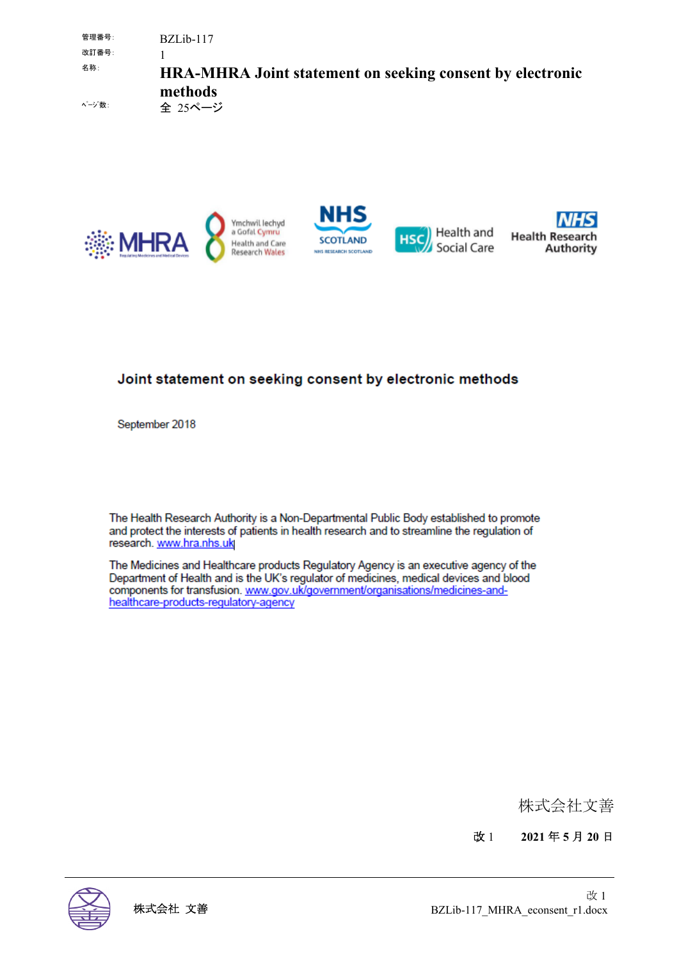管理番号: BZLib-117 改訂番号: 1 名称: **HRA-MHRA Joint statement on seeking consent by electronic methods** ページ数: 全 25ページ



#### Joint statement on seeking consent by electronic methods

September 2018

The Health Research Authority is a Non-Departmental Public Body established to promote and protect the interests of patients in health research and to streamline the regulation of research. www.hra.nhs.uk

The Medicines and Healthcare products Regulatory Agency is an executive agency of the Department of Health and is the UK's regulator of medicines, medical devices and blood components for transfusion. www.gov.uk/government/organisations/medicines-andhealthcare-products-regulatory-agency

株式会社文善

改 1 **2021** 年 **5** 月 **20** 日

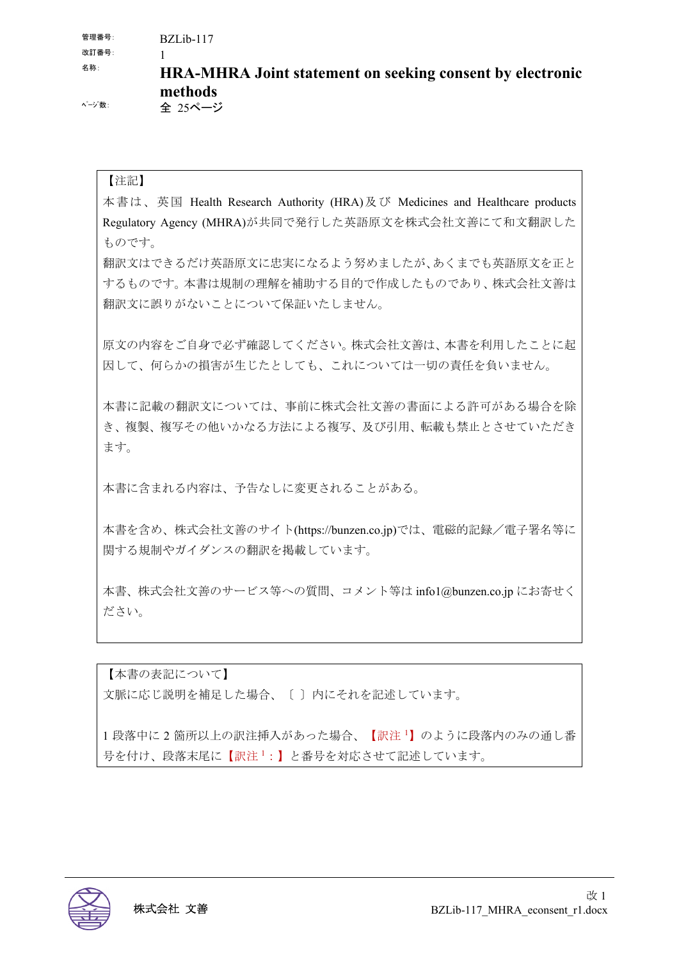管理番号: BZLib-117

改訂番号: 1

# 名称: **HRA-MHRA Joint statement on seeking consent by electronic methods**

ページ数: 全 25ページ

#### 【注記】

本書は、英国 Health Research Authority (HRA)及び Medicines and Healthcare products Regulatory Agency (MHRA)が共同で発行した英語原文を株式会社文善にて和文翻訳した ものです。

翻訳文はできるだけ英語原文に忠実になるよう努めましたが、あくまでも英語原文を正と するものです。本書は規制の理解を補助する目的で作成したものであり、株式会社文善は 翻訳文に誤りがないことについて保証いたしません。

原文の内容をご自身で必ず確認してください。株式会社文善は、本書を利用したことに起 因して、何らかの損害が生じたとしても、これについては一切の責任を負いません。

本書に記載の翻訳文については、事前に株式会社文善の書面による許可がある場合を除 き、複製、複写その他いかなる方法による複写、及び引用、転載も禁止とさせていただき ます。

本書に含まれる内容は、予告なしに変更されることがある。

本書を含め、株式会社文善のサイト(https://bunzen.co.jp)では、電磁的記録/電子署名等に 関する規制やガイダンスの翻訳を掲載しています。

本書、株式会社文善のサービス等への質問、コメント等は info1@bunzen.co.jp にお寄せく ださい。

【本書の表記について】 文脈に応じ説明を補足した場合、〔 〕内にそれを記述しています。

1段落中に2箇所以上の訳注挿入があった場合、【訳注1】のように段落内のみの通し番 号を付け、段落末尾に【訳注1:】と番号を対応させて記述しています。

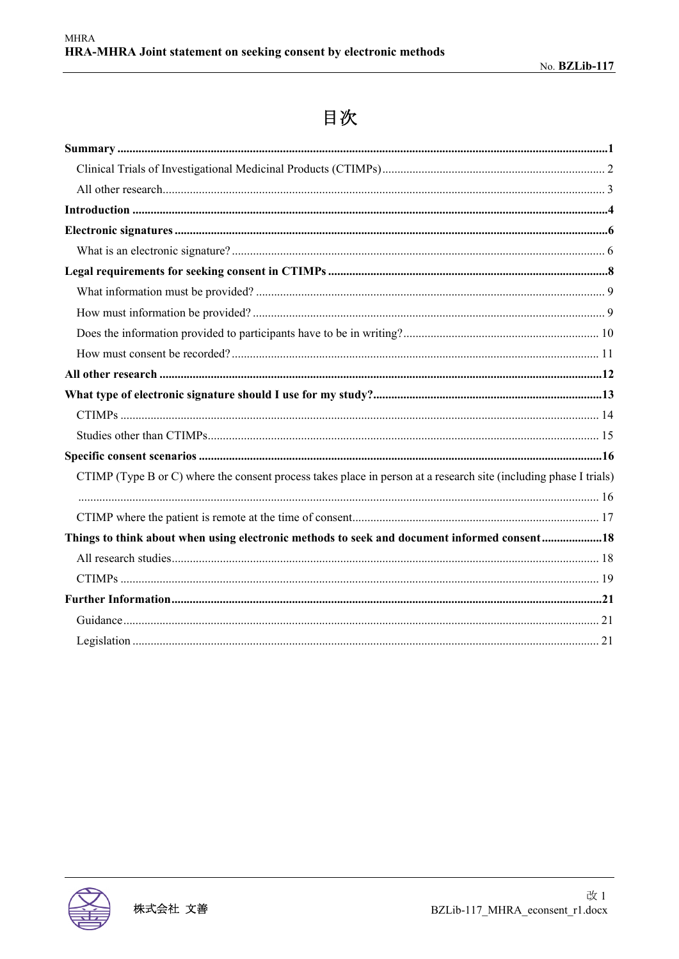# 目次

| CTIMP (Type B or C) where the consent process takes place in person at a research site (including phase I trials) |
|-------------------------------------------------------------------------------------------------------------------|
|                                                                                                                   |
|                                                                                                                   |
| Things to think about when using electronic methods to seek and document informed consent18                       |
|                                                                                                                   |
|                                                                                                                   |
|                                                                                                                   |
|                                                                                                                   |
|                                                                                                                   |
|                                                                                                                   |

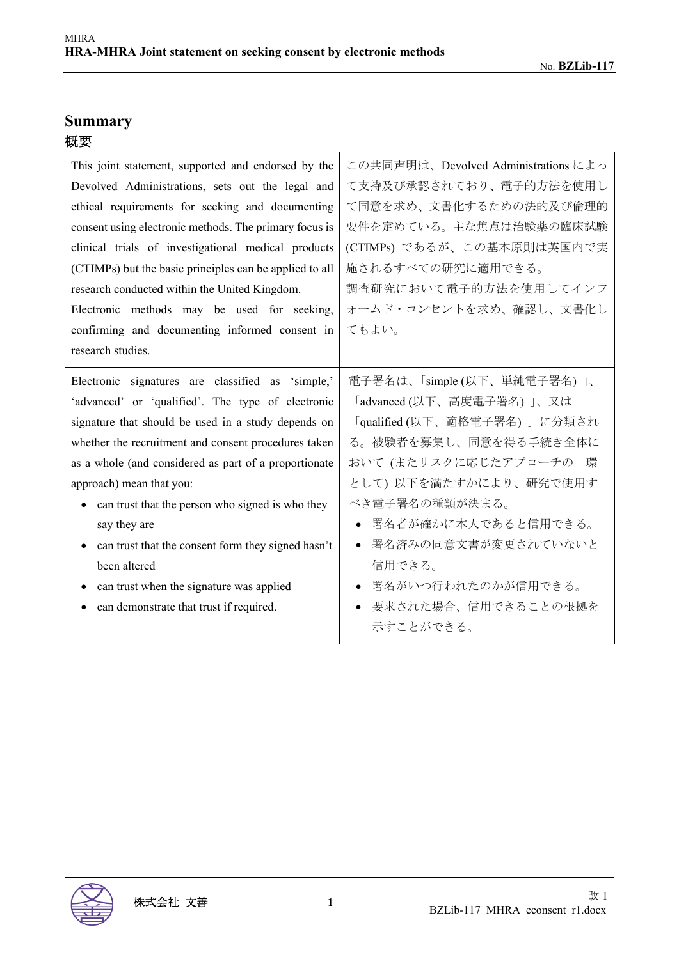# **Summary**  概要

| This joint statement, supported and endorsed by the     | この共同声明は、Devolved Administrations によっ |
|---------------------------------------------------------|--------------------------------------|
| Devolved Administrations, sets out the legal and        | て支持及び承認されており、電子的方法を使用し               |
| ethical requirements for seeking and documenting        | て同意を求め、文書化するための法的及び倫理的               |
| consent using electronic methods. The primary focus is  | 要件を定めている。主な焦点は治験薬の臨床試験               |
| clinical trials of investigational medical products     | (CTIMPs) であるが、この基本原則は英国内で実           |
| (CTIMPs) but the basic principles can be applied to all | 施されるすべての研究に適用できる。                    |
| research conducted within the United Kingdom.           | 調査研究において電子的方法を使用してインフ                |
| Electronic methods may be used for seeking,             | オームド・コンセントを求め、確認し、文書化し               |
| confirming and documenting informed consent in          | てもよい。                                |
| research studies.                                       |                                      |
| Electronic signatures are classified as 'simple,'       | 電子署名は、「simple (以下、単純電子署名)」、          |
| 'advanced' or 'qualified'. The type of electronic       | 「advanced (以下、高度電子署名)」、又は            |
| signature that should be used in a study depends on     | 「qualified (以下、適格電子署名) 」に分類され        |
| whether the recruitment and consent procedures taken    | る。被験者を募集し、同意を得る手続き全体に                |
| as a whole (and considered as part of a proportionate   | おいて (またリスクに応じたアプローチの一環               |
| approach) mean that you:                                | として)以下を満たすかにより、研究で使用す                |
| can trust that the person who signed is who they        | べき電子署名の種類が決まる。                       |
| say they are                                            | 署名者が確かに本人であると信用できる。<br>$\bullet$     |
| can trust that the consent form they signed hasn't      | 署名済みの同意文書が変更されていないと<br>$\bullet$     |
| been altered                                            | 信用できる。                               |
| can trust when the signature was applied                | 署名がいつ行われたのかが信用できる。<br>$\bullet$      |
| can demonstrate that trust if required.                 | 要求された場合、信用できることの根拠を<br>$\bullet$     |
|                                                         | 示すことができる。                            |

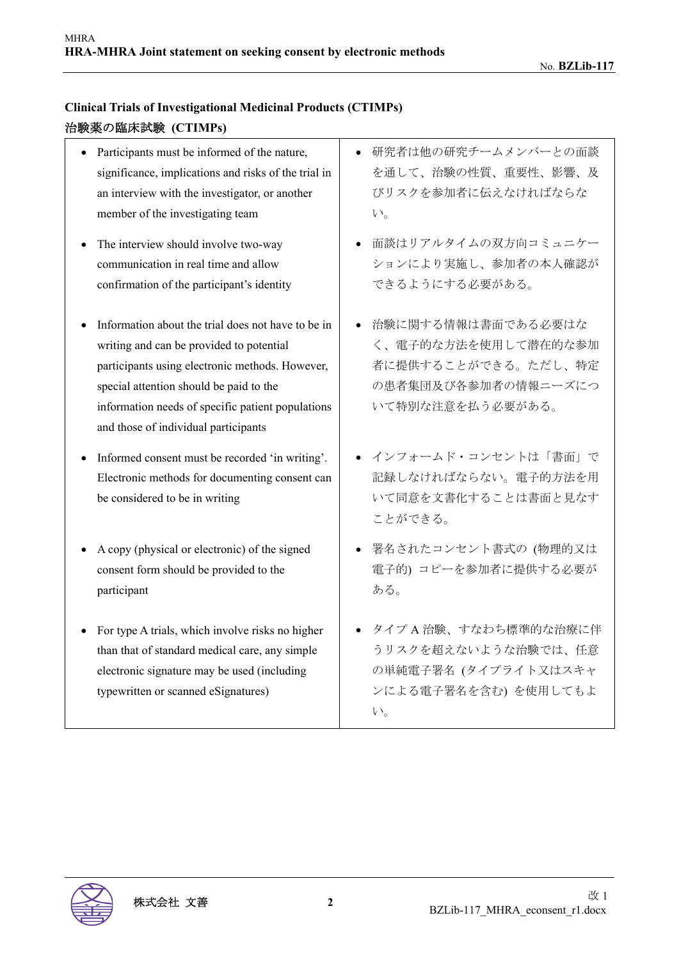#### **Clinical Trials of Investigational Medicinal Products (CTIMPs)**  治験薬の臨床試験 **(CTIMPs)**

- Participants must be informed of the nature, significance, implications and risks of the trial in an interview with the investigator, or another member of the investigating team
- The interview should involve two-way communication in real time and allow confirmation of the participant's identity
- Information about the trial does not have to be in writing and can be provided to potential participants using electronic methods. However, special attention should be paid to the information needs of specific patient populations and those of individual participants
- Informed consent must be recorded 'in writing'. Electronic methods for documenting consent can be considered to be in writing
- A copy (physical or electronic) of the signed consent form should be provided to the participant
- For type A trials, which involve risks no higher than that of standard medical care, any simple electronic signature may be used (including typewritten or scanned eSignatures)
- 研究者は他の研究チームメンバーとの面談 を通して、治験の性質、重要性、影響、及 びリスクを参加者に伝えなければならな い。
- 面談はリアルタイムの双方向コミュニケー ションにより実施し、参加者の本人確認が できるようにする必要がある。
- 治験に関する情報は書面である必要はな く、電子的な方法を使用して潜在的な参加 者に提供することができる。ただし、特定 の患者集団及び各参加者の情報ニーズにつ いて特別な注意を払う必要がある。
- インフォームド・コンセントは「書面」で 記録しなければならない。電子的方法を用 いて同意を文書化することは書面と見なす ことができる。
- 署名されたコンセント書式の (物理的又は 電子的) コピーを参加者に提供する必要が ある。
- タイプ A 治験、すなわち標準的な治療に伴 うリスクを超えないような治験では、任意 の単純電子署名 (タイプライト又はスキャ ンによる電子署名を含む) を使用してもよ い。

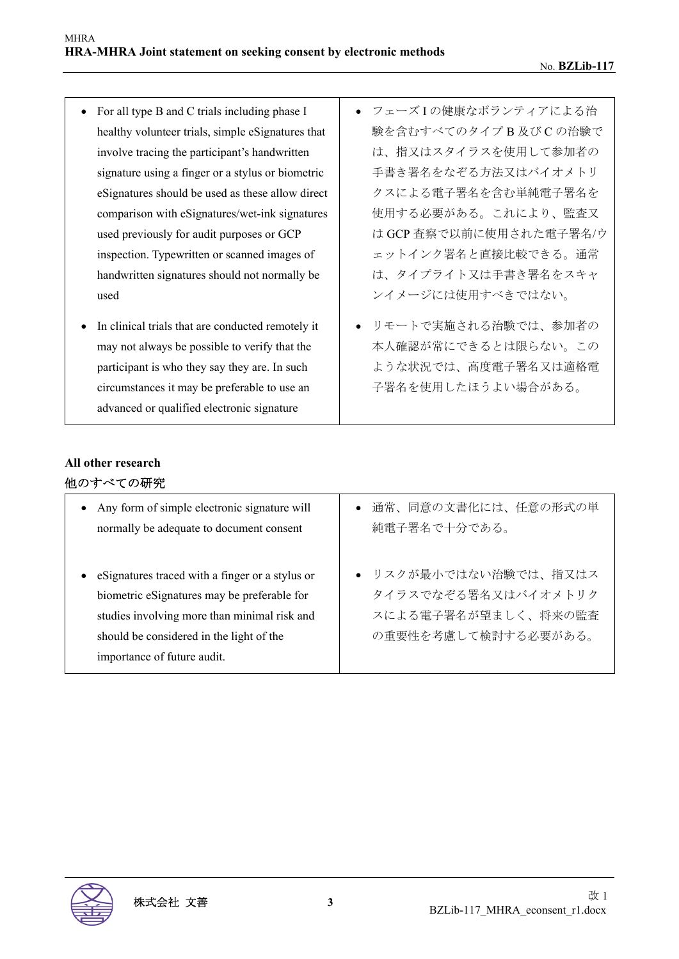- For all type B and C trials including phase I healthy volunteer trials, simple eSignatures that involve tracing the participant's handwritten signature using a finger or a stylus or biometric eSignatures should be used as these allow direct comparison with eSignatures/wet-ink signatures used previously for audit purposes or GCP inspection. Typewritten or scanned images of handwritten signatures should not normally be used
- In clinical trials that are conducted remotely it may not always be possible to verify that the participant is who they say they are. In such circumstances it may be preferable to use an advanced or qualified electronic signature
- フェーズ I の健康なボランティアによる治 験を含むすべてのタイプ B 及び C の治験で は、指又はスタイラスを使用して参加者の 手書き署名をなぞる方法又はバイオメトリ クスによる電子署名を含む単純電子署名を 使用する必要がある。これにより、監査又 は GCP 査察で以前に使用された電子署名/ウ ェットインク署名と直接比較できる。通常 は、タイプライト又は手書き署名をスキャ ンイメージには使用すべきではない。
- リモートで実施される治験では、参加者の 本人確認が常にできるとは限らない。この ような状況では、高度電子署名又は適格電 子署名を使用したほうよい場合がある。

# **All other research**

| 他のすべての研究 |  |
|----------|--|
|----------|--|

| Any form of simple electronic signature will<br>$\bullet$<br>normally be adequate to document consent | ● 通常、同意の文書化には、任意の形式の単<br>純電子署名で十分である。 |
|-------------------------------------------------------------------------------------------------------|---------------------------------------|
| estignatures traced with a finger or a stylus or                                                      | ● リスクが最小ではない治験では、指又はス                 |
| biometric eSignatures may be preferable for                                                           | タイラスでなぞる署名又はバイオメトリク                   |
| studies involving more than minimal risk and                                                          | スによる電子署名が望ましく、将来の監査                   |
| should be considered in the light of the                                                              | の重要性を考慮して検討する必要がある。                   |
| importance of future audit.                                                                           |                                       |

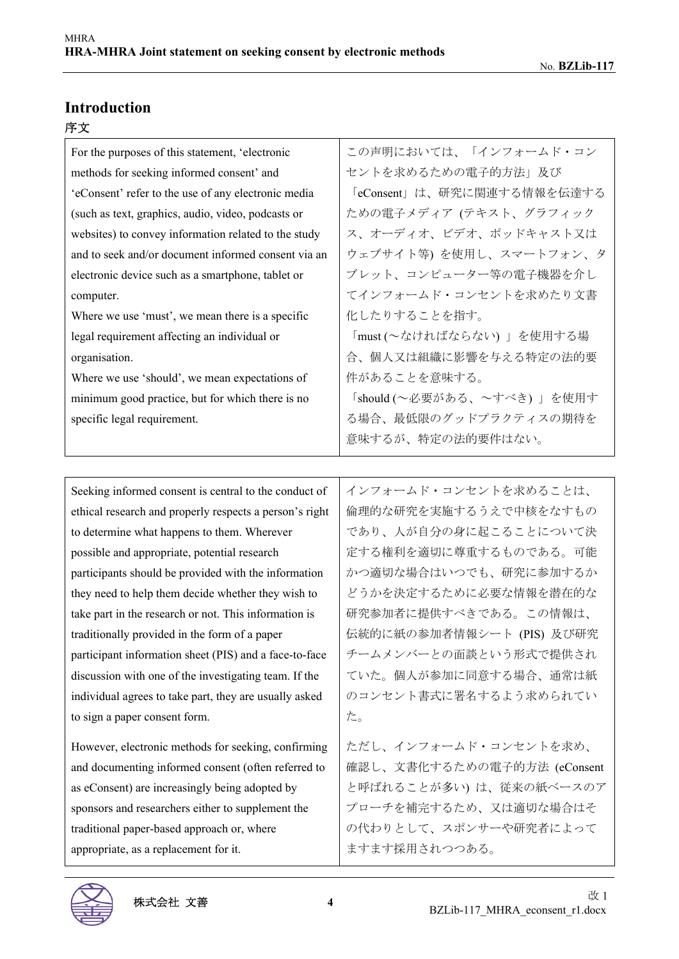#### **Introduction**

#### 序文

| For the purposes of this statement, 'electronic         | この声明においては、「インフォームド・コン                                                    |
|---------------------------------------------------------|--------------------------------------------------------------------------|
| methods for seeking informed consent' and               | セントを求めるための電子的方法」及び                                                       |
| 'eConsent' refer to the use of any electronic media     | 「eConsent」は、研究に関連する情報を伝達する                                               |
| (such as text, graphics, audio, video, podcasts or      | ための電子メディア (テキスト、グラフィック                                                   |
| websites) to convey information related to the study    | ス、オーディオ、ビデオ、ポッドキャスト又は                                                    |
| and to seek and/or document informed consent via an     | ウェブサイト等)を使用し、スマートフォン、タ                                                   |
| electronic device such as a smartphone, tablet or       | ブレット、コンピューター等の電子機器を介し                                                    |
| computer.                                               | てインフォームド・コンセントを求めたり文書                                                    |
| Where we use 'must', we mean there is a specific        | 化したりすることを指す。                                                             |
| legal requirement affecting an individual or            | 「must (~なければならない)」を使用する場                                                 |
| organisation.                                           | 合、個人又は組織に影響を与える特定の法的要                                                    |
| Where we use 'should', we mean expectations of          | 件があることを意味する。                                                             |
| minimum good practice, but for which there is no        | 「should (~必要がある、~すべき)」を使用す                                               |
| specific legal requirement.                             | る場合、最低限のグッドプラクティスの期待を                                                    |
|                                                         | 意味するが、特定の法的要件はない。                                                        |
|                                                         |                                                                          |
| Seeking informed consent is central to the conduct of   | インフォームド・コンセントを求めることは、                                                    |
| ethical research and properly respects a person's right | 倫理的な研究を実施するうえで中核をなすもの                                                    |
| to determine what happens to them. Wherever             | であり、人が自分の身に起こることについて決                                                    |
| possible and appropriate, potential research            | 定する権利を適切に尊重するものである。可能                                                    |
| participants should be provided with the information    | かつ適切な場合はいつでも、研究に参加するか                                                    |
| they need to help them decide whether they wish to      | どうかを決定するために必要な情報を潜在的な                                                    |
| take part in the research or not. This information is   | 研究参加者に提供すべきである。この情報は、                                                    |
| traditionally provided in the form of a paper           | 伝統的に紙の参加者情報シート (PIS) 及び研究                                                |
|                                                         | ᠈、  ◇   l <sub>◇</sub> ⌒━━━━━ル l 、 ・ > <del>ㅠ</del> ノ——ユ…━━エ〓 /ll. 、↓ )。 |

participant information sheet (PIS) and a face-to-face discussion with one of the investigating team. If the individual agrees to take part, they are usually asked to sign a paper consent form.

However, electronic methods for seeking, confirming and documenting informed consent (often referred to as eConsent) are increasingly being adopted by sponsors and researchers either to supplement the traditional paper-based approach or, where appropriate, as a replacement for it.

チームメンバーとの面談という形式で提供され ていた。個人が参加に同意する場合、通常は紙 のコンセント書式に署名するよう求められてい た。

ただし、インフォームド・コンセントを求め、 確認し、文書化するための電子的方法 (eConsent と呼ばれることが多い) は、従来の紙ベースのア プローチを補完するため、又は適切な場合はそ の代わりとして、スポンサーや研究者によって ますます採用されつつある。

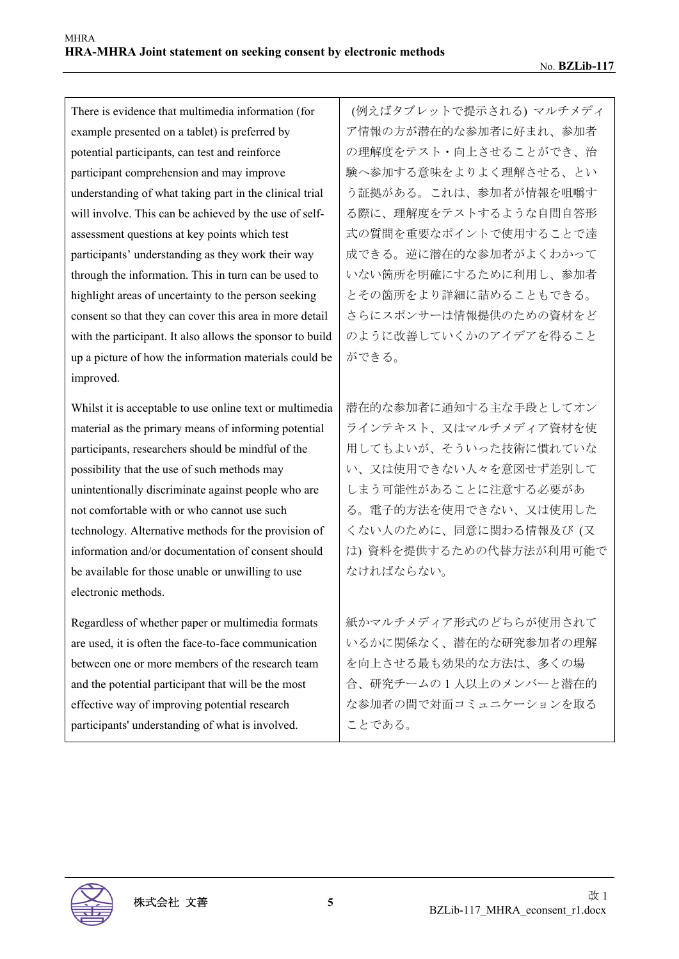There is evidence that multimedia information (for example presented on a tablet) is preferred by potential participants, can test and reinforce participant comprehension and may improve understanding of what taking part in the clinical trial will involve. This can be achieved by the use of selfassessment questions at key points which test participants' understanding as they work their way through the information. This in turn can be used to highlight areas of uncertainty to the person seeking consent so that they can cover this area in more detail with the participant. It also allows the sponsor to build up a picture of how the information materials could be improved.

Whilst it is acceptable to use online text or multimedia material as the primary means of informing potential participants, researchers should be mindful of the possibility that the use of such methods may unintentionally discriminate against people who are not comfortable with or who cannot use such technology. Alternative methods for the provision of information and/or documentation of consent should be available for those unable or unwilling to use electronic methods.

Regardless of whether paper or multimedia formats are used, it is often the face-to-face communication between one or more members of the research team and the potential participant that will be the most effective way of improving potential research participants' understanding of what is involved.

 (例えばタブレットで提示される) マルチメディ ア情報の方が潜在的な参加者に好まれ、参加者 の理解度をテスト・向上させることができ、治 験へ参加する意味をよりよく理解させる、とい う証拠がある。これは、参加者が情報を咀嚼す る際に、理解度をテストするような自問自答形 式の質問を重要なポイントで使用することで達 成できる。逆に潜在的な参加者がよくわかって いない箇所を明確にするために利用し、参加者 とその箇所をより詳細に詰めることもできる。 さらにスポンサーは情報提供のための資材をど のように改善していくかのアイデアを得ること ができる。

潜在的な参加者に通知する主な手段としてオン ラインテキスト、又はマルチメディア資材を使 用してもよいが、そういった技術に慣れていな い、又は使用できない人々を意図せず差別して しまう可能性があることに注意する必要があ る。電子的方法を使用できない、又は使用した くない人のために、同意に関わる情報及び (又 は) 資料を提供するための代替方法が利用可能で なければならない。

紙かマルチメディア形式のどちらが使用されて いるかに関係なく、潜在的な研究参加者の理解 を向上させる最も効果的な方法は、多くの場 合、研究チームの 1 人以上のメンバーと潜在的 な参加者の間で対面コミュニケーションを取る ことである。

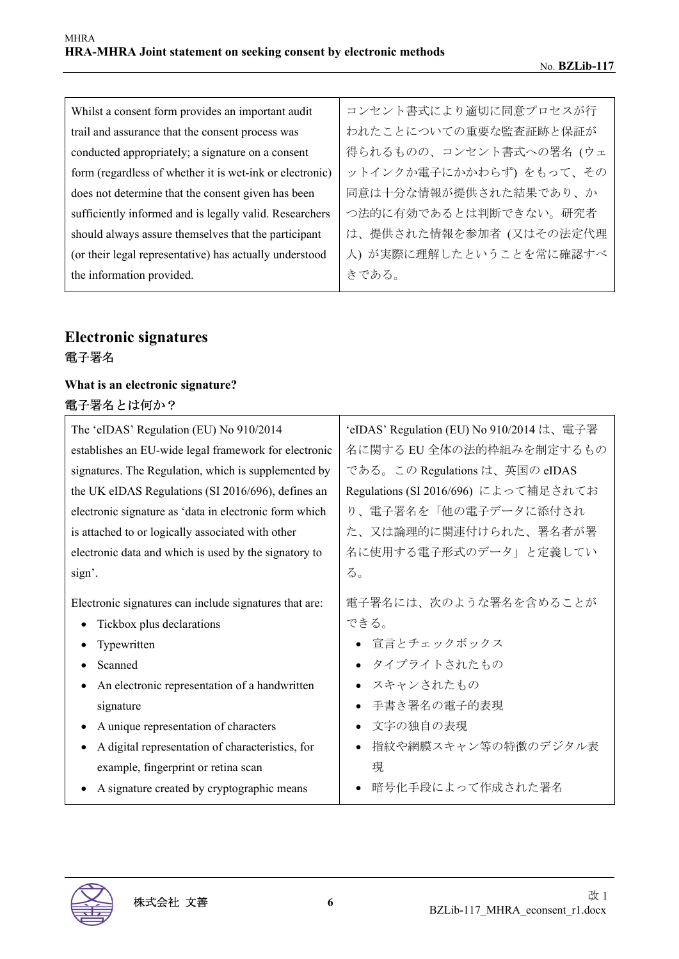| Whilst a consent form provides an important audit        | コンセント書式により適切に同意プロセスが行   |
|----------------------------------------------------------|-------------------------|
| trail and assurance that the consent process was         | われたことについての重要な監査証跡と保証が   |
| conducted appropriately; a signature on a consent        | 得られるものの、コンセント書式への署名(ウェ  |
| form (regardless of whether it is wet-ink or electronic) | ットインクか電子にかかわらず)をもって、その  |
| does not determine that the consent given has been       | 同意は十分な情報が提供された結果であり、か   |
| sufficiently informed and is legally valid. Researchers  | つ法的に有効であるとは判断できない。研究者   |
| should always assure themselves that the participant     | は、提供された情報を参加者 (又はその法定代理 |
| (or their legal representative) has actually understood  | 人)が実際に理解したということを常に確認すべ  |
| the information provided.                                | きである。                   |

### **Electronic signatures**  電子署名

#### **What is an electronic signature?**  電子署名とは何か?

| The 'eIDAS' Regulation (EU) No 910/2014                | 'eIDAS' Regulation (EU) No 910/2014 は、電子署 |
|--------------------------------------------------------|-------------------------------------------|
| establishes an EU-wide legal framework for electronic  | 名に関する EU 全体の法的枠組みを制定するもの                  |
| signatures. The Regulation, which is supplemented by   | である。この Regulations は、英国の eIDAS            |
| the UK eIDAS Regulations (SI 2016/696), defines an     | Regulations (SI 2016/696) によって補足されてお      |
| electronic signature as 'data in electronic form which | り、電子署名を「他の電子データに添付され                      |
| is attached to or logically associated with other      | た、又は論理的に関連付けられた、署名者が署                     |
| electronic data and which is used by the signatory to  | 名に使用する電子形式のデータ」と定義してい                     |
| sign'.                                                 | る。                                        |
| Electronic signatures can include signatures that are: | 電子署名には、次のような署名を含めることが                     |
| Tickbox plus declarations                              | できる。                                      |
| Typewritten                                            | ● 宣言とチェックボックス                             |
| Scanned                                                | • タイプライトされたもの                             |
| An electronic representation of a handwritten          | • スキャンされたもの                               |
| signature                                              | 手書き署名の電子的表現                               |
| A unique representation of characters                  | 文字の独自の表現                                  |
| A digital representation of characteristics, for       | 指紋や網膜スキャン等の特徴のデジタル表                       |
| example, fingerprint or retina scan                    | 現                                         |
| A signature created by cryptographic means             | 暗号化手段によって作成された署名                          |

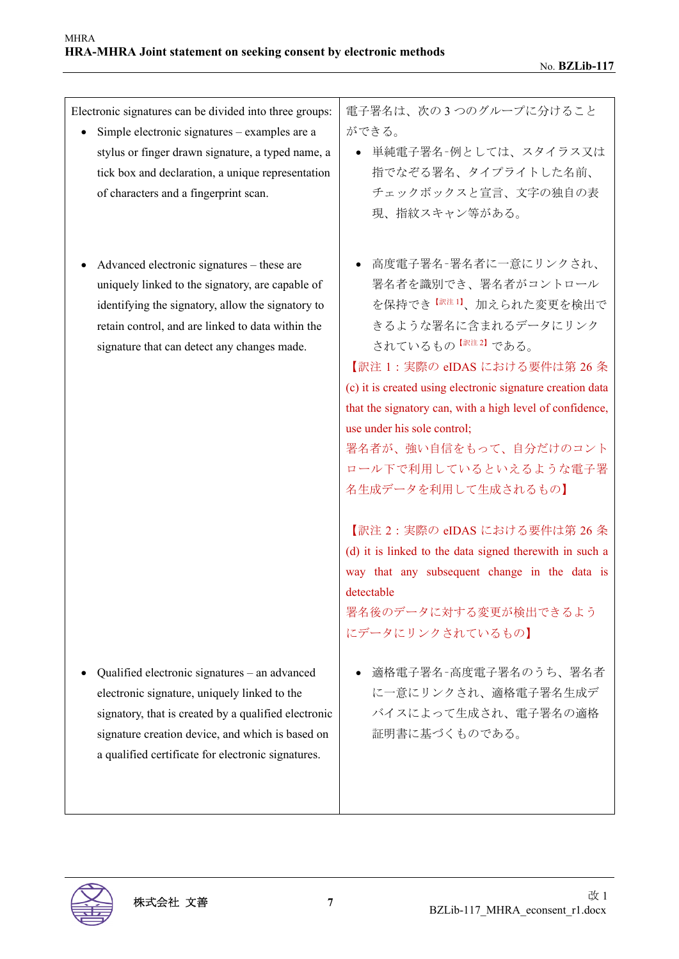Electronic signatures can be divided into three groups:

- Simple electronic signatures examples are a stylus or finger drawn signature, a typed name, a tick box and declaration, a unique representation of characters and a fingerprint scan.
- Advanced electronic signatures these are uniquely linked to the signatory, are capable of identifying the signatory, allow the signatory to retain control, and are linked to data within the signature that can detect any changes made.

 Qualified electronic signatures – an advanced electronic signature, uniquely linked to the signatory, that is created by a qualified electronic signature creation device, and which is based on a qualified certificate for electronic signatures.

電子署名は、次の 3 つのグループに分けること ができる。

- 単純電子署名–例としては、スタイラス又は 指でなぞる署名、タイプライトした名前、 チェックボックスと宣言、文字の独自の表 現、指紋スキャン等がある。
- 高度電子署名–署名者に一意にリンクされ、 署名者を識別でき、署名者がコントロール を保持でき【訳注 <sup>1</sup>】、加えられた変更を検出で きるような署名に含まれるデータにリンク されているもの 【訳注2】 である。

【訳注 1:実際の eIDAS における要件は第 26 条 (c) it is created using electronic signature creation data that the signatory can, with a high level of confidence, use under his sole control;

署名者が、強い自信をもって、自分だけのコント ロール下で利用しているといえるような電子署 名生成データを利用して生成されるもの】

【訳注 2:実際の eIDAS における要件は第 26 条 (d) it is linked to the data signed therewith in such a way that any subsequent change in the data is detectable

署名後のデータに対する変更が検出できるよう にデータにリンクされているもの】

● 適格電子署名–高度電子署名のうち、署名者 に一意にリンクされ、適格電子署名生成デ バイスによって生成され、電子署名の適格 証明書に基づくものである。

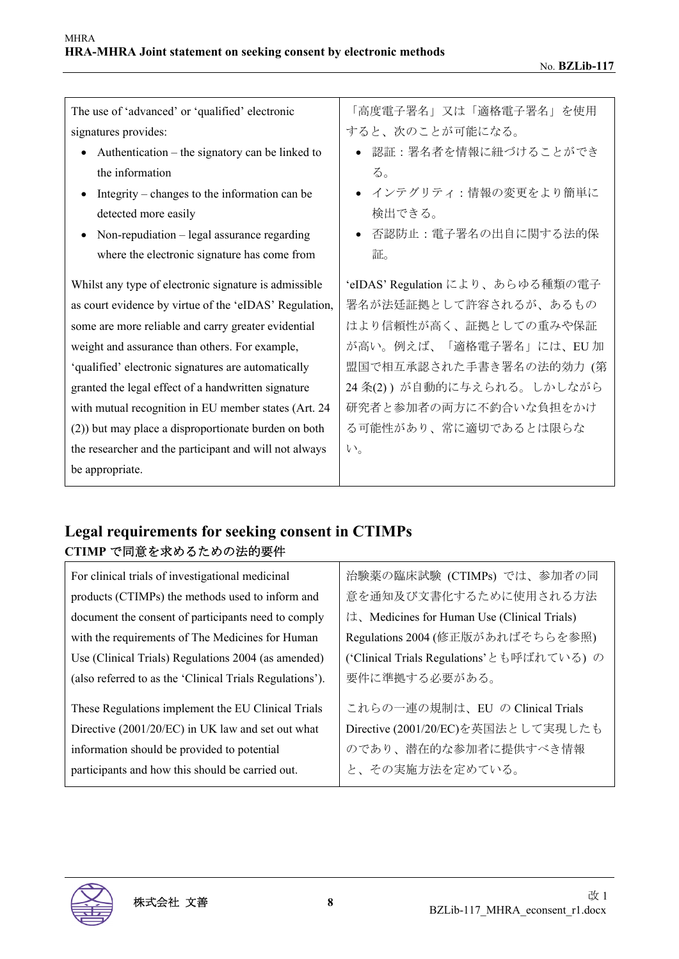| The use of 'advanced' or 'qualified' electronic        | 「高度電子署名」又は「適格電子署名」を使用            |
|--------------------------------------------------------|----------------------------------|
| signatures provides:                                   | すると、次のことが可能になる。                  |
| Authentication – the signatory can be linked to        | 認証:署名者を情報に紐づけることができ              |
| the information                                        | る。                               |
| Integrity – changes to the information can be          | ● インテグリティ:情報の変更をより簡単に            |
| detected more easily                                   | 検出できる。                           |
| Non-repudiation $-$ legal assurance regarding          | 否認防止:電子署名の出自に関する法的保              |
| where the electronic signature has come from           | 証。                               |
| Whilst any type of electronic signature is admissible  | 'eIDAS' Regulation により、あらゆる種類の電子 |
| as court evidence by virtue of the 'eIDAS' Regulation, | 署名が法廷証拠として許容されるが、あるもの            |
| some are more reliable and carry greater evidential    | はより信頼性が高く、証拠としての重みや保証            |
| weight and assurance than others. For example,         | が高い。例えば、「適格電子署名」には、EU 加          |
| 'qualified' electronic signatures are automatically    | 盟国で相互承認された手書き署名の法的効力 (第          |
| granted the legal effect of a handwritten signature    | 24 条(2))が自動的に与えられる。しかしながら        |
| with mutual recognition in EU member states (Art. 24   | 研究者と参加者の両方に不釣合いな負担をかけ            |
| (2)) but may place a disproportionate burden on both   | る可能性があり、常に適切であるとは限らな             |
| the researcher and the participant and will not always | $V_{0}$                          |
| be appropriate.                                        |                                  |

# **Legal requirements for seeking consent in CTIMPs CTIMP** で同意を求めるための法的要件

| For clinical trials of investigational medicinal         | 治験薬の臨床試験 (CTIMPs) では、参加者の同                  |
|----------------------------------------------------------|---------------------------------------------|
| products (CTIMPs) the methods used to inform and         | 意を通知及び文書化するために使用される方法                       |
| document the consent of participants need to comply      | は、Medicines for Human Use (Clinical Trials) |
| with the requirements of The Medicines for Human         | Regulations 2004 (修正版があればそちらを参照)            |
| Use (Clinical Trials) Regulations 2004 (as amended)      | ('Clinical Trials Regulations'とも呼ばれている)の    |
| (also referred to as the 'Clinical Trials Regulations'). | 要件に準拠する必要がある。                               |
| These Regulations implement the EU Clinical Trials       | これらの一連の規制は、EU の Clinical Trials             |
| Directive (2001/20/EC) in UK law and set out what        | Directive (2001/20/EC)を英国法として実現したも          |
| information should be provided to potential              | のであり、潜在的な参加者に提供すべき情報                        |
| participants and how this should be carried out.         | と、その実施方法を定めている。                             |

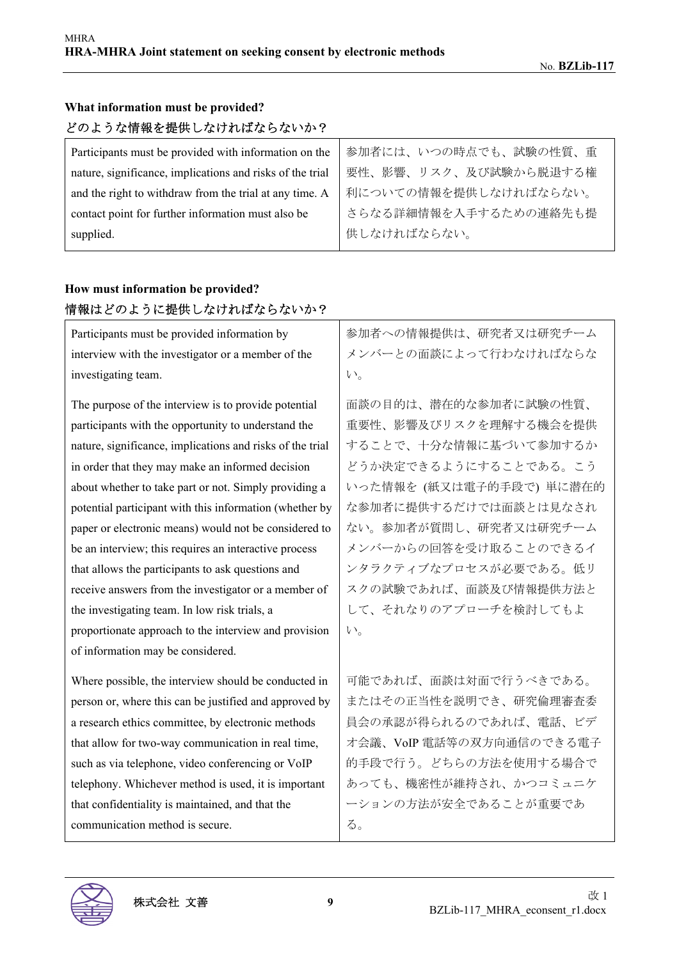| どのような情報を提供しなければならないか?                                     |                       |
|-----------------------------------------------------------|-----------------------|
| Participants must be provided with information on the     | 参加者には、いつの時点でも、試験の性質、重 |
| nature, significance, implications and risks of the trial | 要性、影響、リスク、及び試験から脱退する権 |
| and the right to withdraw from the trial at any time. A   | 利についての情報を提供しなければならない。 |
| contact point for further information must also be        | さらなる詳細情報を入手するための連絡先も提 |
| supplied.                                                 | 供しなければならない。           |
|                                                           |                       |

#### **What information must be provided?**   $\begin{bmatrix} 1 & 0 & 0 \\ 0 & 0 & 0 \\ 0 & 0 & 0 \\ 0 & 0 & 0 \\ 0 & 0 & 0 \\ 0 & 0 & 0 \\ 0 & 0 & 0 \\ 0 & 0 & 0 \\ 0 & 0 & 0 \\ 0 & 0 & 0 \\ 0 & 0 & 0 \\ 0 & 0 & 0 & 0 \\ 0 & 0 & 0 & 0 \\ 0 & 0 & 0 & 0 \\ 0 & 0 & 0 & 0 \\ 0 & 0 & 0 & 0 & 0 \\ 0 & 0 & 0 & 0 & 0 \\ 0 & 0 & 0 & 0 & 0 \\ 0 & 0 & 0 & 0 & 0 \\ 0 & 0 &$

#### **How must information be provided?**  情報はどのように提供しなければならないか?

| Participants must be provided information by              | 参加者への情報提供は、研究者又は研究チーム    |
|-----------------------------------------------------------|--------------------------|
| interview with the investigator or a member of the        | メンバーとの面談によって行わなければならな    |
| investigating team.                                       | $V_{0}$                  |
| The purpose of the interview is to provide potential      | 面談の目的は、潜在的な参加者に試験の性質、    |
| participants with the opportunity to understand the       | 重要性、影響及びリスクを理解する機会を提供    |
| nature, significance, implications and risks of the trial | することで、十分な情報に基づいて参加するか    |
| in order that they may make an informed decision          | どうか決定できるようにすることである。こう    |
| about whether to take part or not. Simply providing a     | いった情報を (紙又は電子的手段で)単に潜在的  |
| potential participant with this information (whether by   | な参加者に提供するだけでは面談とは見なされ    |
| paper or electronic means) would not be considered to     | ない。参加者が質問し、研究者又は研究チーム    |
| be an interview; this requires an interactive process     | メンバーからの回答を受け取ることのできるイ    |
| that allows the participants to ask questions and         | ンタラクティブなプロセスが必要である。低リ    |
| receive answers from the investigator or a member of      | スクの試験であれば、面談及び情報提供方法と    |
| the investigating team. In low risk trials, a             | して、それなりのアプローチを検討してもよ     |
| proportionate approach to the interview and provision     | $V_{0}$                  |
| of information may be considered.                         |                          |
| Where possible, the interview should be conducted in      | 可能であれば、面談は対面で行うべきである。    |
| person or, where this can be justified and approved by    | またはその正当性を説明でき、研究倫理審査委    |
| a research ethics committee, by electronic methods        | 員会の承認が得られるのであれば、電話、ビデ    |
| that allow for two-way communication in real time,        | オ会議、VoIP 電話等の双方向通信のできる電子 |
| such as via telephone, video conferencing or VoIP         | 的手段で行う。どちらの方法を使用する場合で    |
| telephony. Whichever method is used, it is important      | あっても、機密性が維持され、かつコミュニケ    |
| that confidentiality is maintained, and that the          | ーションの方法が安全であることが重要であ     |
| communication method is secure.                           | る。                       |

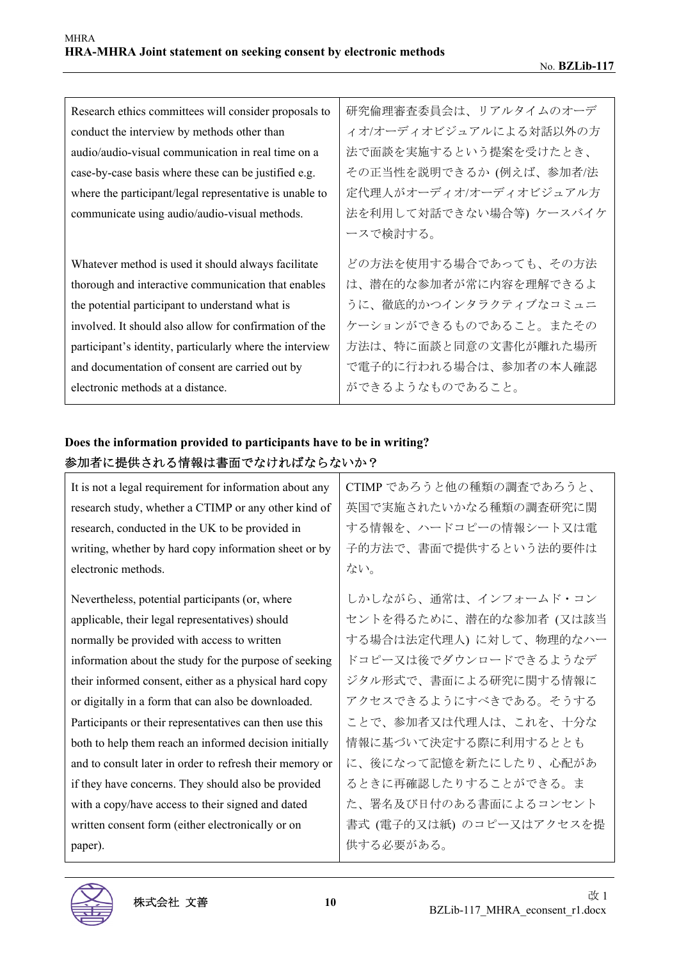| Research ethics committees will consider proposals to    | 研究倫理審査委員会は、リアルタイムのオーデ   |
|----------------------------------------------------------|-------------------------|
| conduct the interview by methods other than              | ィオ/オーディオビジュアルによる対話以外の方  |
| audio/audio-visual communication in real time on a       | 法で面談を実施するという提案を受けたとき、   |
| case-by-case basis where these can be justified e.g.     | その正当性を説明できるか (例えば、参加者/法 |
| where the participant/legal representative is unable to  | 定代理人がオーディオ/オーディオビジュアル方  |
| communicate using audio/audio-visual methods.            | 法を利用して対話できない場合等) ケースバイケ |
|                                                          | ースで検討する。                |
| Whatever method is used it should always facilitate      | どの方法を使用する場合であっても、その方法   |
| thorough and interactive communication that enables      | は、潜在的な参加者が常に内容を理解できるよ   |
| the potential participant to understand what is          | うに、徹底的かつインタラクティブなコミュニ   |
| involved. It should also allow for confirmation of the   | ケーションができるものであること。またその   |
| participant's identity, particularly where the interview | 方法は、特に面談と同意の文書化が離れた場所   |
| and documentation of consent are carried out by          | で電子的に行われる場合は、参加者の本人確認   |
| electronic methods at a distance.                        | ができるようなものであること。         |

### **Does the information provided to participants have to be in writing?**  参加者に提供される情報は書面でなければならないか?

| It is not a legal requirement for information about any  | CTIMP であろうと他の種類の調査であろうと、 |
|----------------------------------------------------------|--------------------------|
|                                                          |                          |
| research study, whether a CTIMP or any other kind of     | 英国で実施されたいかなる種類の調査研究に関    |
| research, conducted in the UK to be provided in          | する情報を、ハードコピーの情報シート又は電    |
| writing, whether by hard copy information sheet or by    | 子的方法で、書面で提供するという法的要件は    |
| electronic methods.                                      | ない。                      |
|                                                          |                          |
| Nevertheless, potential participants (or, where          | しかしながら、通常は、インフォームド・コン    |
| applicable, their legal representatives) should          | セントを得るために、潜在的な参加者(又は該当   |
| normally be provided with access to written              | する場合は法定代理人)に対して、物理的なハー   |
| information about the study for the purpose of seeking   | ドコピー又は後でダウンロードできるようなデ    |
| their informed consent, either as a physical hard copy   | ジタル形式で、書面による研究に関する情報に    |
| or digitally in a form that can also be downloaded.      | アクセスできるようにすべきである。そうする    |
| Participants or their representatives can then use this  | ことで、参加者又は代理人は、これを、十分な    |
| both to help them reach an informed decision initially   | 情報に基づいて決定する際に利用するととも     |
| and to consult later in order to refresh their memory or | に、後になって記憶を新たにしたり、心配があ    |
| if they have concerns. They should also be provided      | るときに再確認したりすることができる。ま     |
| with a copy/have access to their signed and dated        | た、署名及び日付のある書面によるコンセント    |
| written consent form (either electronically or on        | 書式 (電子的又は紙) のコピー又はアクセスを提 |
| paper).                                                  | 供する必要がある。                |

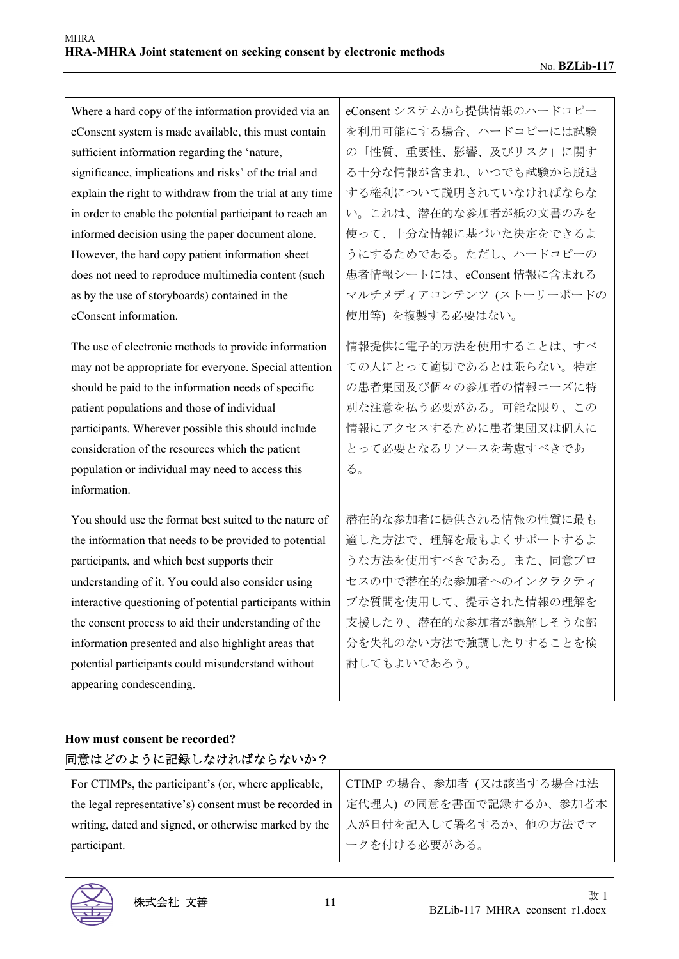| Where a hard copy of the information provided via an     | eConsent システムから提供情報のハードコピー |
|----------------------------------------------------------|----------------------------|
| eConsent system is made available, this must contain     | を利用可能にする場合、ハードコピーには試験      |
| sufficient information regarding the 'nature,            | の「性質、重要性、影響、及びリスク」に関す      |
| significance, implications and risks' of the trial and   | る十分な情報が含まれ、いつでも試験から脱退      |
| explain the right to withdraw from the trial at any time | する権利について説明されていなければならな      |
| in order to enable the potential participant to reach an | い。これは、潜在的な参加者が紙の文書のみを      |
| informed decision using the paper document alone.        | 使って、十分な情報に基づいた決定をできるよ      |
| However, the hard copy patient information sheet         | うにするためである。ただし、ハードコピーの      |
| does not need to reproduce multimedia content (such      | 患者情報シートには、eConsent 情報に含まれる |
| as by the use of storyboards) contained in the           | マルチメディアコンテンツ (ストーリーボードの    |
| eConsent information.                                    | 使用等)を複製する必要はない。            |
| The use of electronic methods to provide information     | 情報提供に電子的方法を使用することは、すべ      |
| may not be appropriate for everyone. Special attention   | ての人にとって適切であるとは限らない。特定      |
| should be paid to the information needs of specific      | の患者集団及び個々の参加者の情報ニーズに特      |
| patient populations and those of individual              | 別な注意を払う必要がある。可能な限り、この      |
| participants. Wherever possible this should include      | 情報にアクセスするために患者集団又は個人に      |
| consideration of the resources which the patient         | とって必要となるリソースを考慮すべきであ       |
| population or individual may need to access this         | る。                         |
| information.                                             |                            |
| You should use the format best suited to the nature of   | 潜在的な参加者に提供される情報の性質に最も      |
| the information that needs to be provided to potential   | 適した方法で、理解を最もよくサポートするよ      |
| participants, and which best supports their              | うな方法を使用すべきである。また、同意プロ      |
| understanding of it. You could also consider using       | セスの中で潜在的な参加者へのインタラクティ      |
| interactive questioning of potential participants within | ブな質問を使用して、提示された情報の理解を      |
| the consent process to aid their understanding of the    | 支援したり、潜在的な参加者が誤解しそうな部      |
| information presented and also highlight areas that      | 分を失礼のない方法で強調したりすることを検      |
| potential participants could misunderstand without       | 討してもよいであろう。                |
| appearing condescending.                                 |                            |

### **How must consent be recorded?**  同意はどのように記録しなければならないか?

| For CTIMPs, the participant's (or, where applicable,                              | CTIMPの場合、参加者 (又は該当する場合は法 |
|-----------------------------------------------------------------------------------|--------------------------|
| the legal representative's) consent must be recorded in   定代理人) の同意を書面で記録するか、参加者本 |                          |
| writing, dated and signed, or otherwise marked by the   人が日付を記入して署名するか、他の方法でマ     |                          |
| participant.                                                                      | ークを付ける必要がある。             |

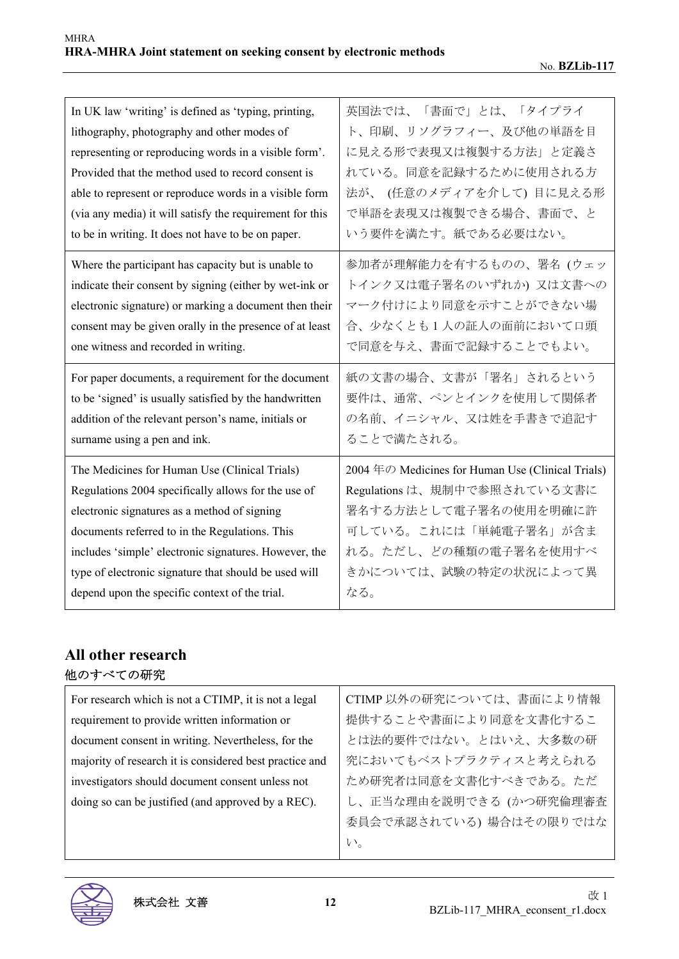| In UK law 'writing' is defined as 'typing, printing,     | 英国法では、「書面で」とは、「タイプライ                             |
|----------------------------------------------------------|--------------------------------------------------|
| lithography, photography and other modes of              | ト、印刷、リソグラフィー、及び他の単語を目                            |
| representing or reproducing words in a visible form'.    | に見える形で表現又は複製する方法」と定義さ                            |
| Provided that the method used to record consent is       | れている。同意を記録するために使用される方                            |
| able to represent or reproduce words in a visible form   | 法が、(任意のメディアを介して)目に見える形                           |
| (via any media) it will satisfy the requirement for this | で単語を表現又は複製できる場合、書面で、と                            |
| to be in writing. It does not have to be on paper.       | いう要件を満たす。紙である必要はない。                              |
| Where the participant has capacity but is unable to      | 参加者が理解能力を有するものの、署名(ウェッ                           |
| indicate their consent by signing (either by wet-ink or  | トインク又は電子署名のいずれか)又は文書への                           |
| electronic signature) or marking a document then their   | マーク付けにより同意を示すことができない場                            |
| consent may be given orally in the presence of at least  | 合、少なくとも1人の証人の面前において口頭                            |
| one witness and recorded in writing.                     | で同意を与え、書面で記録することでもよい。                            |
| For paper documents, a requirement for the document      | 紙の文書の場合、文書が「署名」されるという                            |
| to be 'signed' is usually satisfied by the handwritten   | 要件は、通常、ペンとインクを使用して関係者                            |
| addition of the relevant person's name, initials or      | の名前、イニシャル、又は姓を手書きで追記す                            |
| surname using a pen and ink.                             | ることで満たされる。                                       |
| The Medicines for Human Use (Clinical Trials)            | 2004年の Medicines for Human Use (Clinical Trials) |
| Regulations 2004 specifically allows for the use of      | Regulations は、規制中で参照されている文書に                     |
| electronic signatures as a method of signing             | 署名する方法として電子署名の使用を明確に許                            |
| documents referred to in the Regulations. This           | 可している。これには「単純電子署名」が含ま                            |
| includes 'simple' electronic signatures. However, the    | れる。ただし、どの種類の電子署名を使用すべ                            |
| type of electronic signature that should be used will    | きかについては、試験の特定の状況によって異                            |
| depend upon the specific context of the trial.           | なる。                                              |

# **All other research**  他のすべての研究

| For research which is not a CTIMP, it is not a legal    | CTIMP 以外の研究については、書面により情報 |
|---------------------------------------------------------|--------------------------|
| requirement to provide written information or           | 提供することや書面により同意を文書化するこ    |
| document consent in writing. Nevertheless, for the      | とは法的要件ではない。とはいえ、大多数の研    |
| majority of research it is considered best practice and | 究においてもベストプラクティスと考えられる    |
| investigators should document consent unless not        | ため研究者は同意を文書化すべきである。ただ    |
| doing so can be justified (and approved by a REC).      | し、正当な理由を説明できる (かつ研究倫理審査  |
|                                                         | 委員会で承認されている)場合はその限りではな   |
|                                                         | $V_{o}$                  |

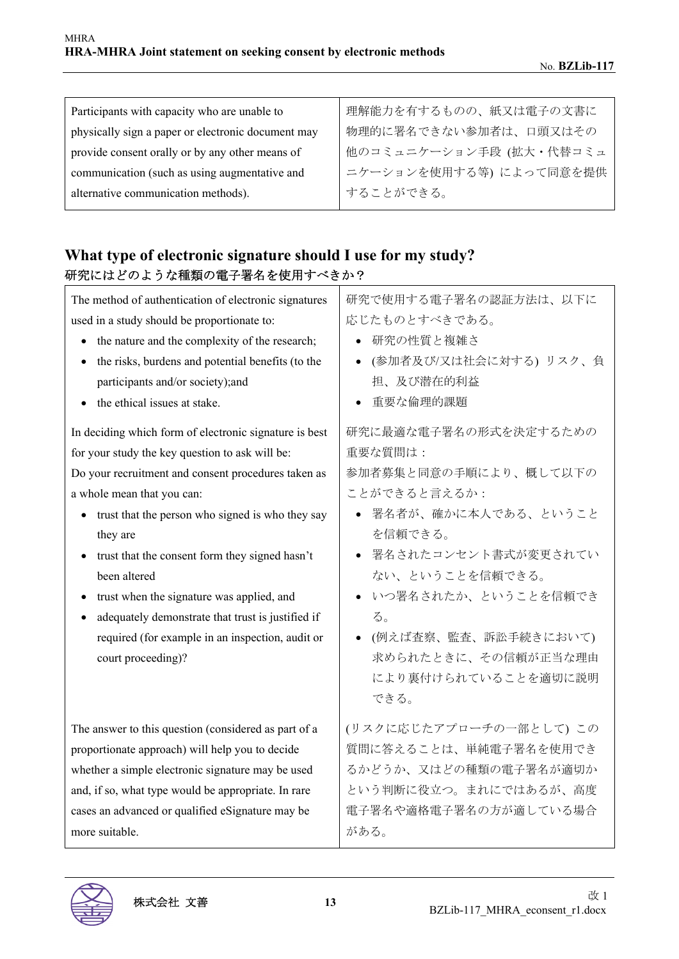| Participants with capacity who are unable to       | 理解能力を有するものの、紙又は電子の文書に   |
|----------------------------------------------------|-------------------------|
| physically sign a paper or electronic document may | 物理的に署名できない参加者は、口頭又はその   |
| provide consent orally or by any other means of    | 他のコミュニケーション手段 (拡大・代替コミュ |
| communication (such as using augmentative and      | ニケーションを使用する等)によって同意を提供  |
| alternative communication methods).                | することができる。               |
|                                                    |                         |

# **What type of electronic signature should I use for my study?**  研究にはどのような種類の電子署名を使用すべきか?

| The method of authentication of electronic signatures<br>used in a study should be proportionate to:<br>the nature and the complexity of the research;<br>$\bullet$<br>the risks, burdens and potential benefits (to the<br>$\bullet$<br>participants and/or society);and<br>the ethical issues at stake.<br>In deciding which form of electronic signature is best<br>for your study the key question to ask will be: | 研究で使用する電子署名の認証方法は、以下に<br>応じたものとすべきである。<br>● 研究の性質と複雑さ<br>(参加者及び/又は社会に対する) リスク、負<br>担、及び潜在的利益<br>重要な倫理的課題<br>研究に最適な電子署名の形式を決定するための<br>重要な質問は:                                                                                       |
|------------------------------------------------------------------------------------------------------------------------------------------------------------------------------------------------------------------------------------------------------------------------------------------------------------------------------------------------------------------------------------------------------------------------|------------------------------------------------------------------------------------------------------------------------------------------------------------------------------------------------------------------------------------|
| Do your recruitment and consent procedures taken as<br>a whole mean that you can:<br>trust that the person who signed is who they say<br>they are<br>trust that the consent form they signed hasn't<br>been altered<br>trust when the signature was applied, and<br>adequately demonstrate that trust is justified if<br>required (for example in an inspection, audit or<br>court proceeding)?                        | 参加者募集と同意の手順により、概して以下の<br>ことができると言えるか:<br>● 署名者が、確かに本人である、ということ<br>を信頼できる。<br>● 署名されたコンセント書式が変更されてい<br>ない、ということを信頼できる。<br>いつ署名されたか、ということを信頼でき<br>る。<br>• (例えば査察、監査、訴訟手続きにおいて)<br>求められたときに、その信頼が正当な理由<br>により裏付けられていることを適切に説明<br>できる。 |
| The answer to this question (considered as part of a<br>proportionate approach) will help you to decide<br>whether a simple electronic signature may be used<br>and, if so, what type would be appropriate. In rare<br>cases an advanced or qualified eSignature may be<br>more suitable.                                                                                                                              | (リスクに応じたアプローチの一部として)この<br>質問に答えることは、単純電子署名を使用でき<br>るかどうか、又はどの種類の電子署名が適切か<br>という判断に役立つ。まれにではあるが、高度<br>電子署名や適格電子署名の方が適している場合<br>がある。                                                                                                 |

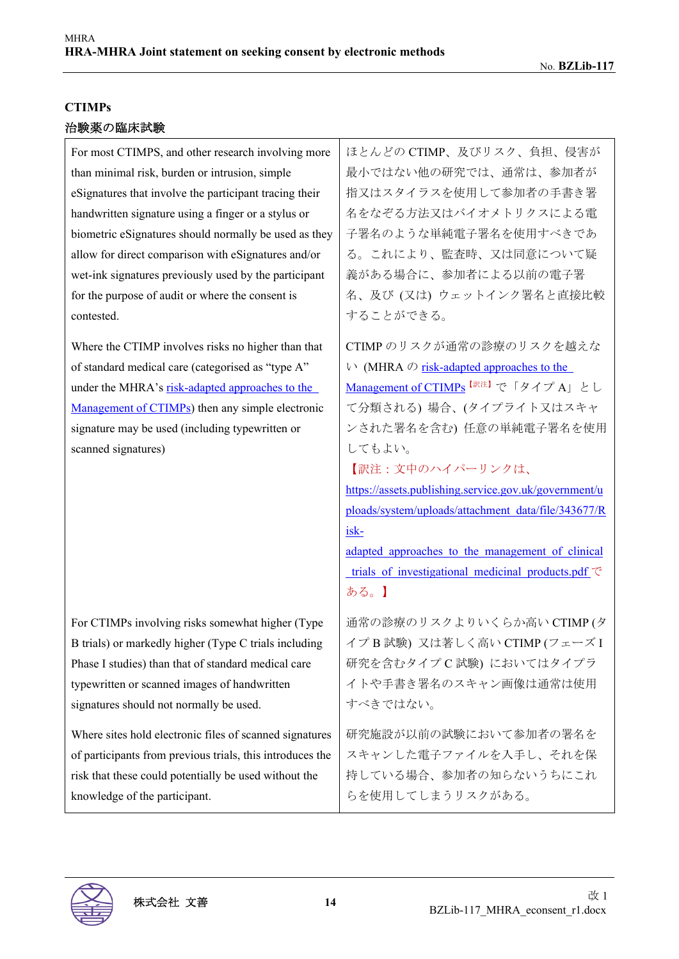#### **CTIMPs**

| For most CTIMPS, and other research involving more                                                                                                                                                                                                                                       | ほとんどの CTIMP、及びリスク、負担、侵害が                                                                                                                                                                                                                                                                                                                                                                                                                                                              |
|------------------------------------------------------------------------------------------------------------------------------------------------------------------------------------------------------------------------------------------------------------------------------------------|---------------------------------------------------------------------------------------------------------------------------------------------------------------------------------------------------------------------------------------------------------------------------------------------------------------------------------------------------------------------------------------------------------------------------------------------------------------------------------------|
| than minimal risk, burden or intrusion, simple                                                                                                                                                                                                                                           | 最小ではない他の研究では、通常は、参加者が                                                                                                                                                                                                                                                                                                                                                                                                                                                                 |
| eSignatures that involve the participant tracing their                                                                                                                                                                                                                                   | 指又はスタイラスを使用して参加者の手書き署                                                                                                                                                                                                                                                                                                                                                                                                                                                                 |
| handwritten signature using a finger or a stylus or                                                                                                                                                                                                                                      | 名をなぞる方法又はバイオメトリクスによる電                                                                                                                                                                                                                                                                                                                                                                                                                                                                 |
| biometric eSignatures should normally be used as they                                                                                                                                                                                                                                    | 子署名のような単純電子署名を使用すべきであ                                                                                                                                                                                                                                                                                                                                                                                                                                                                 |
| allow for direct comparison with eSignatures and/or                                                                                                                                                                                                                                      | る。これにより、監査時、又は同意について疑                                                                                                                                                                                                                                                                                                                                                                                                                                                                 |
| wet-ink signatures previously used by the participant                                                                                                                                                                                                                                    | 義がある場合に、参加者による以前の電子署                                                                                                                                                                                                                                                                                                                                                                                                                                                                  |
| for the purpose of audit or where the consent is                                                                                                                                                                                                                                         | 名、及び(又は)ウェットインク署名と直接比較                                                                                                                                                                                                                                                                                                                                                                                                                                                                |
| contested.                                                                                                                                                                                                                                                                               | することができる。                                                                                                                                                                                                                                                                                                                                                                                                                                                                             |
| Where the CTIMP involves risks no higher than that<br>of standard medical care (categorised as "type A"<br>under the MHRA's risk-adapted approaches to the<br>Management of CTIMPs) then any simple electronic<br>signature may be used (including typewritten or<br>scanned signatures) | CTIMP のリスクが通常の診療のリスクを越えな<br>$\vee$ (MHRA $\oslash$ risk-adapted approaches to the<br>Management of CTIMPs <sup>[訳注]</sup> で「タイプ A」とし<br>て分類される)場合、(タイプライト又はスキャ<br>ンされた署名を含む) 任意の単純電子署名を使用<br>してもよい。<br>【訳注:文中のハイパーリンクは、<br>https://assets.publishing.service.gov.uk/government/u<br>ploads/system/uploads/attachment_data/file/343677/R<br>isk-<br>adapted approaches to the management of clinical<br>trials of investigational medicinal products.pdf $\check{\mathcal{C}}$<br>ある。】 |
| For CTIMPs involving risks somewhat higher (Type                                                                                                                                                                                                                                         | 通常の診療のリスクよりいくらか高い CTIMP (タ                                                                                                                                                                                                                                                                                                                                                                                                                                                            |
| B trials) or markedly higher (Type C trials including                                                                                                                                                                                                                                    | イプB試験) 又は著しく高い CTIMP (フェーズI                                                                                                                                                                                                                                                                                                                                                                                                                                                           |
| Phase I studies) than that of standard medical care                                                                                                                                                                                                                                      | 研究を含むタイプC試験)においてはタイプラ                                                                                                                                                                                                                                                                                                                                                                                                                                                                 |
| typewritten or scanned images of handwritten                                                                                                                                                                                                                                             | イトや手書き署名のスキャン画像は通常は使用                                                                                                                                                                                                                                                                                                                                                                                                                                                                 |
| signatures should not normally be used.                                                                                                                                                                                                                                                  | すべきではない。                                                                                                                                                                                                                                                                                                                                                                                                                                                                              |
| Where sites hold electronic files of scanned signatures                                                                                                                                                                                                                                  | 研究施設が以前の試験において参加者の署名を                                                                                                                                                                                                                                                                                                                                                                                                                                                                 |
| of participants from previous trials, this introduces the                                                                                                                                                                                                                                | スキャンした電子ファイルを入手し、それを保                                                                                                                                                                                                                                                                                                                                                                                                                                                                 |
| risk that these could potentially be used without the                                                                                                                                                                                                                                    | 持している場合、参加者の知らないうちにこれ                                                                                                                                                                                                                                                                                                                                                                                                                                                                 |
| knowledge of the participant.                                                                                                                                                                                                                                                            | らを使用してしまうリスクがある。                                                                                                                                                                                                                                                                                                                                                                                                                                                                      |

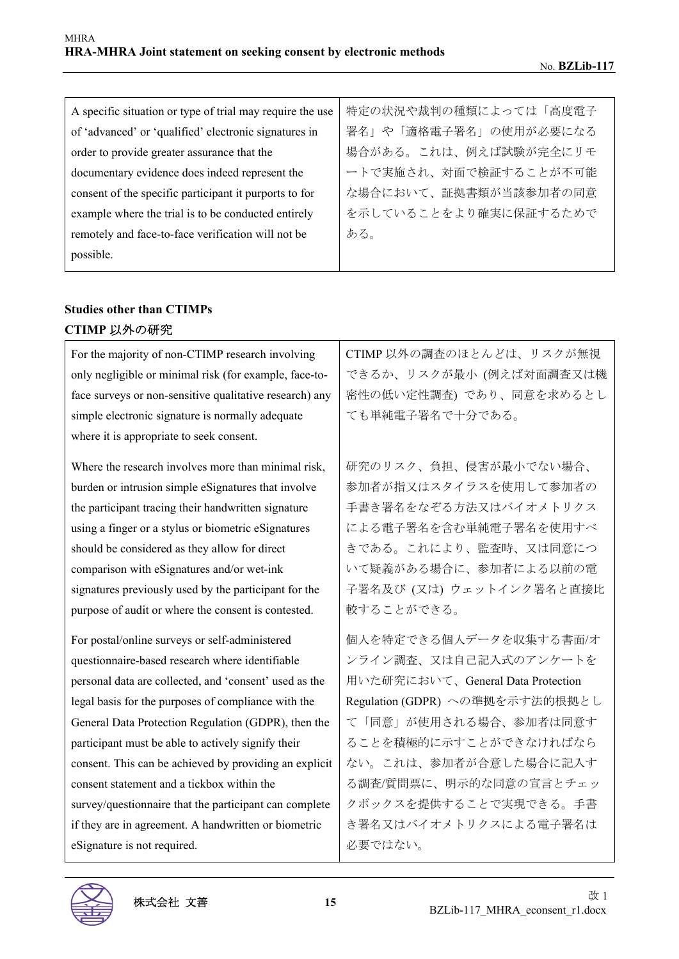| A specific situation or type of trial may require the use | 特定の状況や裁判の種類によっては「高度電子 |
|-----------------------------------------------------------|-----------------------|
| of 'advanced' or 'qualified' electronic signatures in     | 署名」や「適格電子署名」の使用が必要になる |
| order to provide greater assurance that the               | 場合がある。これは、例えば試験が完全にリモ |
| documentary evidence does indeed represent the            | ートで実施され、対面で検証することが不可能 |
| consent of the specific participant it purports to for    | な場合において、証拠書類が当該参加者の同意 |
| example where the trial is to be conducted entirely       | を示していることをより確実に保証するためで |
| remotely and face-to-face verification will not be        | ある。                   |
| possible.                                                 |                       |

### **Studies other than CTIMPs CTIMP** 以外の研究

| For the majority of non-CTIMP research involving        | CTIMP 以外の調査のほとんどは、リスクが無視          |
|---------------------------------------------------------|-----------------------------------|
| only negligible or minimal risk (for example, face-to-  | できるか、リスクが最小 (例えば対面調査又は機           |
| face surveys or non-sensitive qualitative research) any | 密性の低い定性調査)であり、同意を求めるとし            |
| simple electronic signature is normally adequate        | ても単純電子署名で十分である。                   |
| where it is appropriate to seek consent.                |                                   |
| Where the research involves more than minimal risk,     | 研究のリスク、負担、侵害が最小でない場合、             |
| burden or intrusion simple eSignatures that involve     | 参加者が指又はスタイラスを使用して参加者の             |
| the participant tracing their handwritten signature     | 手書き署名をなぞる方法又はバイオメトリクス             |
| using a finger or a stylus or biometric eSignatures     | による電子署名を含む単純電子署名を使用すべ             |
| should be considered as they allow for direct           | きである。これにより、監査時、又は同意につ             |
| comparison with eSignatures and/or wet-ink              | いて疑義がある場合に、参加者による以前の電             |
| signatures previously used by the participant for the   | 子署名及び (又は) ウェットインク署名と直接比          |
|                                                         |                                   |
| purpose of audit or where the consent is contested.     | 較することができる。                        |
| For postal/online surveys or self-administered          | 個人を特定できる個人データを収集する書面/オ            |
| questionnaire-based research where identifiable         | ンライン調査、又は自己記入式のアンケートを             |
| personal data are collected, and 'consent' used as the  | 用いた研究において、General Data Protection |
| legal basis for the purposes of compliance with the     | Regulation (GDPR) への準拠を示す法的根拠とし   |
| General Data Protection Regulation (GDPR), then the     | て「同意」が使用される場合、参加者は同意す             |
| participant must be able to actively signify their      | ることを積極的に示すことができなければなら             |
| consent. This can be achieved by providing an explicit  | ない。これは、参加者が合意した場合に記入す             |
| consent statement and a tickbox within the              | る調査/質問票に、明示的な同意の宣言とチェッ            |
| survey/questionnaire that the participant can complete  | クボックスを提供することで実現できる。手書             |
| if they are in agreement. A handwritten or biometric    | き署名又はバイオメトリクスによる電子署名は             |
| eSignature is not required.                             | 必要ではない。                           |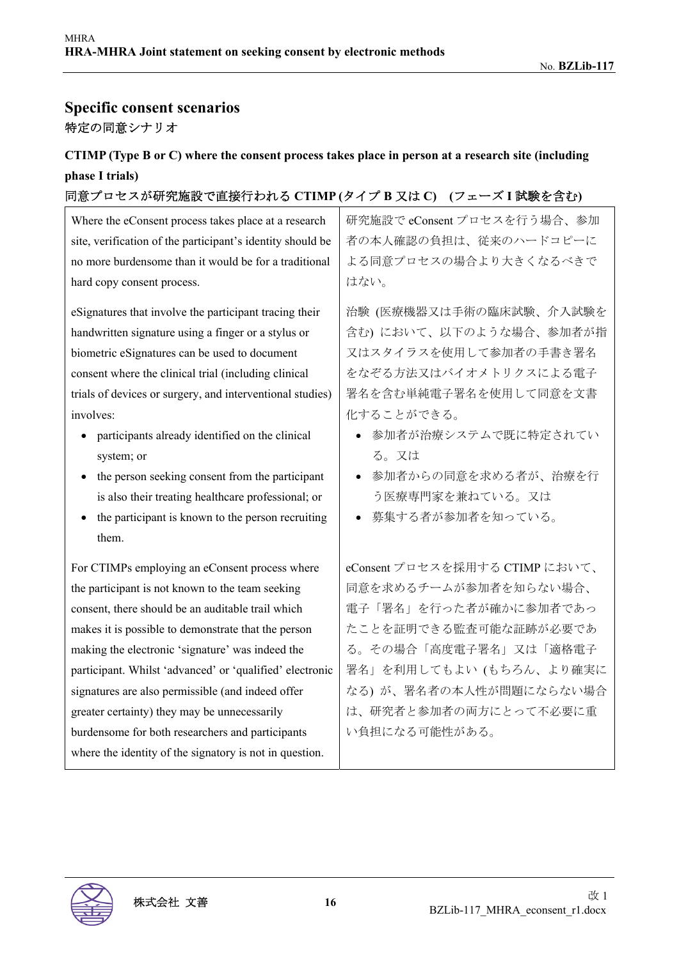# **Specific consent scenarios**  特定の同意シナリオ

### **CTIMP (Type B or C) where the consent process takes place in person at a research site (including phase I trials)**

### 同意プロセスが研究施設で直接行われる **CTIMP (**タイプ **B** 又は **C) (**フェーズ **I** 試験を含む**)**

| Where the eConsent process takes place at a research           | 研究施設で eConsent プロセスを行う場合、参加    |
|----------------------------------------------------------------|--------------------------------|
| site, verification of the participant's identity should be     | 者の本人確認の負担は、従来のハードコピーに          |
| no more burdensome than it would be for a traditional          | よる同意プロセスの場合より大きくなるべきで          |
| hard copy consent process.                                     | はない。                           |
| eSignatures that involve the participant tracing their         | 治験 (医療機器又は手術の臨床試験、介入試験を        |
| handwritten signature using a finger or a stylus or            | 含む)において、以下のような場合、参加者が指         |
| biometric eSignatures can be used to document                  | 又はスタイラスを使用して参加者の手書き署名          |
| consent where the clinical trial (including clinical           | をなぞる方法又はバイオメトリクスによる電子          |
| trials of devices or surgery, and interventional studies)      | 署名を含む単純電子署名を使用して同意を文書          |
| involves:                                                      | 化することができる。                     |
| participants already identified on the clinical                | 参加者が治療システムで既に特定されてい            |
| system; or                                                     | る。又は                           |
| the person seeking consent from the participant                | 参加者からの同意を求める者が、治療を行            |
| is also their treating healthcare professional; or             | う医療専門家を兼ねている。又は                |
| the participant is known to the person recruiting<br>$\bullet$ | 募集する者が参加者を知っている。               |
| them.                                                          |                                |
| For CTIMPs employing an eConsent process where                 | eConsent プロセスを採用する CTIMP において、 |
| the participant is not known to the team seeking               | 同意を求めるチームが参加者を知らない場合、          |
| consent, there should be an auditable trail which              | 電子「署名」を行った者が確かに参加者であっ          |
| makes it is possible to demonstrate that the person            | たことを証明できる監査可能な証跡が必要であ          |
| making the electronic 'signature' was indeed the               | る。その場合「高度電子署名」又は「適格電子          |
| participant. Whilst 'advanced' or 'qualified' electronic       | 署名」を利用してもよい(もちろん、より確実に         |
| signatures are also permissible (and indeed offer              | なる) が、署名者の本人性が問題にならない場合        |
| greater certainty) they may be unnecessarily                   | は、研究者と参加者の両方にとって不必要に重          |
| burdensome for both researchers and participants               | い負担になる可能性がある。                  |
| where the identity of the signatory is not in question.        |                                |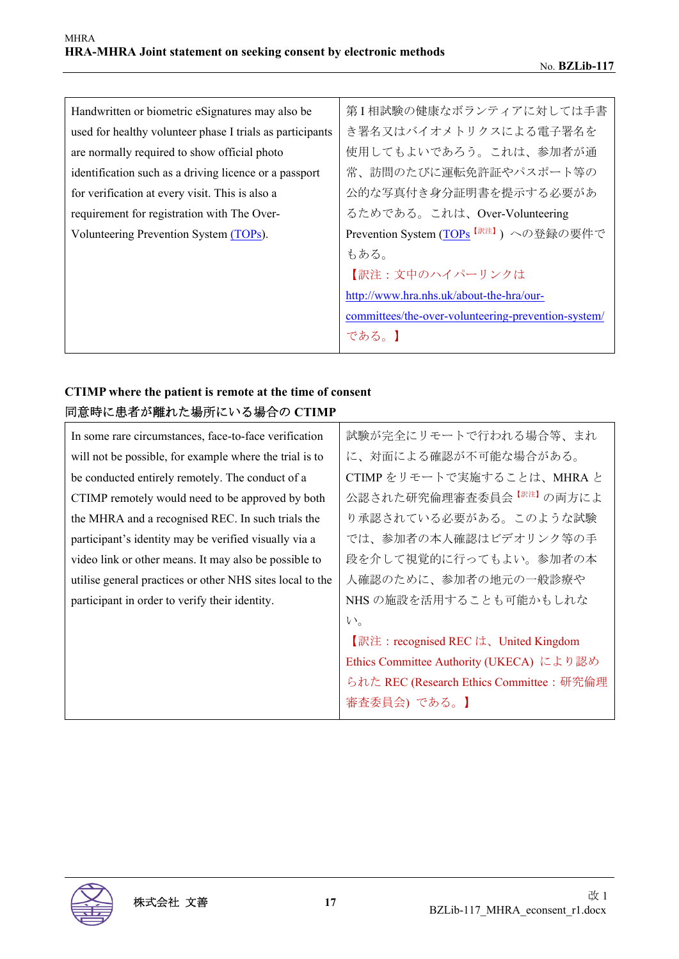| Handwritten or biometric eSignatures may also be          | 第I相試験の健康なボランティアに対しては手書                              |
|-----------------------------------------------------------|-----------------------------------------------------|
| used for healthy volunteer phase I trials as participants | き署名又はバイオメトリクスによる電子署名を                               |
| are normally required to show official photo              | 使用してもよいであろう。これは、参加者が通                               |
| identification such as a driving licence or a passport    | 常、訪問のたびに運転免許証やパスポート等の                               |
| for verification at every visit. This is also a           | 公的な写真付き身分証明書を提示する必要があ                               |
| requirement for registration with The Over-               | るためである。これは、Over-Volunteering                        |
| Volunteering Prevention System (TOPs).                    | Prevention System (TOPs <sup>【訳注】</sup> ) への登録の要件で  |
|                                                           | もある。                                                |
|                                                           | 【訳注:文中のハイパーリンクは                                     |
|                                                           | http://www.hra.nhs.uk/about-the-hra/our-            |
|                                                           | committees/the-over-volunteering-prevention-system/ |
|                                                           | である。1                                               |

### **CTIMP where the patient is remote at the time of consent**  同意時に患者が離れた場所にいる場合の **CTIMP**

| In some rare circumstances, face-to-face verification     | 試験が完全にリモートで行われる場合等、まれ                    |
|-----------------------------------------------------------|------------------------------------------|
| will not be possible, for example where the trial is to   | に、対面による確認が不可能な場合がある。                     |
| be conducted entirely remotely. The conduct of a          | CTIMP をリモートで実施することは、MHRA と               |
| CTIMP remotely would need to be approved by both          | 公認された研究倫理審査委員会 <sup>【訳注】</sup> の両方によ     |
| the MHRA and a recognised REC. In such trials the         | り承認されている必要がある。このような試験                    |
| participant's identity may be verified visually via a     | では、参加者の本人確認はビデオリンク等の手                    |
| video link or other means. It may also be possible to     | 段を介して視覚的に行ってもよい。参加者の本                    |
| utilise general practices or other NHS sites local to the | 人確認のために、参加者の地元の一般診療や                     |
| participant in order to verify their identity.            | NHS の施設を活用することも可能かもしれな                   |
|                                                           | $V_{\alpha}$                             |
|                                                           | 【訳注: recognised REC は、United Kingdom     |
|                                                           | Ethics Committee Authority (UKECA) により認め |
|                                                           | られた REC (Research Ethics Committee:研究倫理  |
|                                                           | 審査委員会) である。】                             |
|                                                           |                                          |

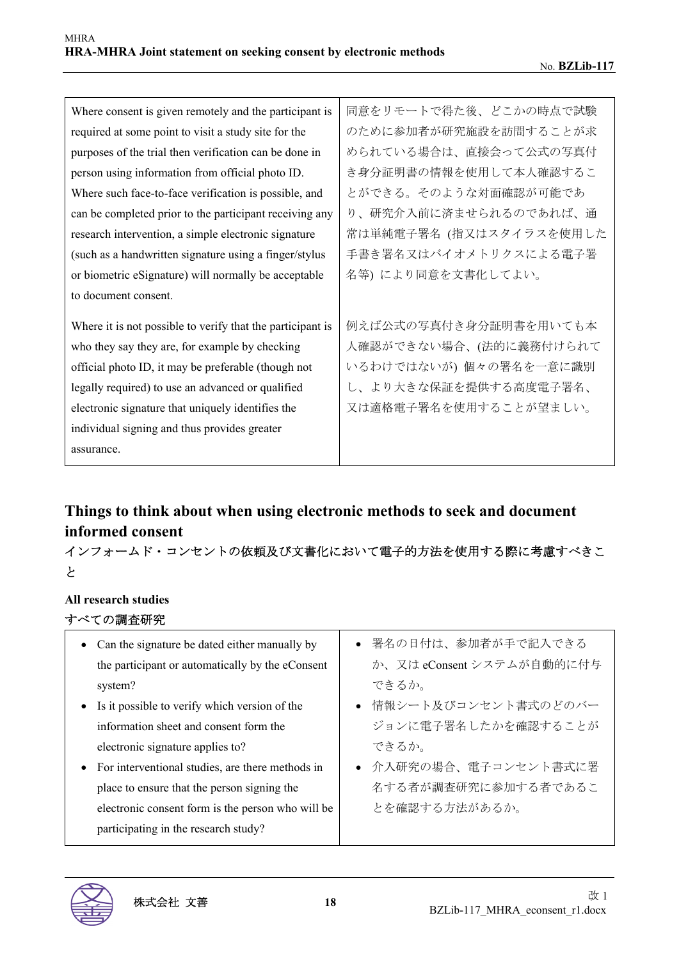| Where consent is given remotely and the participant is     | 同意をリモートで得た後、どこかの時点で試験   |
|------------------------------------------------------------|-------------------------|
| required at some point to visit a study site for the       | のために参加者が研究施設を訪問することが求   |
| purposes of the trial then verification can be done in     | められている場合は、直接会って公式の写真付   |
| person using information from official photo ID.           | き身分証明書の情報を使用して本人確認するこ   |
| Where such face-to-face verification is possible, and      | とができる。そのような対面確認が可能であ    |
| can be completed prior to the participant receiving any    | り、研究介入前に済ませられるのであれば、通   |
| research intervention, a simple electronic signature       | 常は単純電子署名 (指又はスタイラスを使用した |
| (such as a handwritten signature using a finger/stylus     | 手書き署名又はバイオメトリクスによる電子署   |
| or biometric eSignature) will normally be acceptable       | 名等) により同意を文書化してよい。      |
| to document consent.                                       |                         |
| Where it is not possible to verify that the participant is | 例えば公式の写真付き身分証明書を用いても本   |
| who they say they are, for example by checking             | 人確認ができない場合、(法的に義務付けられて  |
| official photo ID, it may be preferable (though not        | いるわけではないが) 個々の署名を一意に識別  |
| legally required) to use an advanced or qualified          | し、より大きな保証を提供する高度電子署名、   |
| electronic signature that uniquely identifies the          | 又は適格電子署名を使用することが望ましい。   |
| individual signing and thus provides greater               |                         |
| assurance.                                                 |                         |

# **Things to think about when using electronic methods to seek and document informed consent**

インフォームド・コンセントの依頼及び文書化において電子的方法を使用する際に考慮すべきこ と

#### **All research studies**

すべての調査研究

| • Can the signature be dated either manually by    | ● 署名の日付は、参加者が手で記入できる      |
|----------------------------------------------------|---------------------------|
| the participant or automatically by the eConsent   | か、又は eConsent システムが自動的に付与 |
| system?                                            | できるか。                     |
| • Is it possible to verify which version of the    | ● 情報シート及びコンセント書式のどのバー     |
| information sheet and consent form the             | ジョンに電子署名したかを確認することが       |
| electronic signature applies to?                   | できるか。                     |
| • For interventional studies, are there methods in | ● 介入研究の場合、電子コンセント書式に署     |
| place to ensure that the person signing the        | 名する者が調査研究に参加する者であるこ       |
| electronic consent form is the person who will be  | とを確認する方法があるか。             |
| participating in the research study?               |                           |

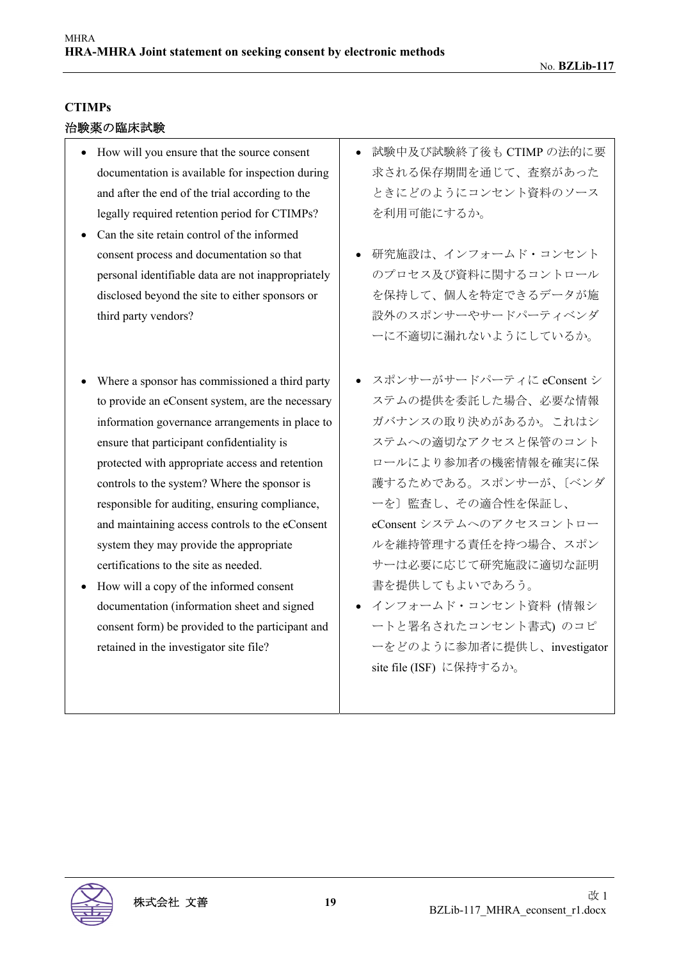#### **CTIMPs**

#### 治験薬の臨床試験

- How will you ensure that the source consent documentation is available for inspection during and after the end of the trial according to the legally required retention period for CTIMPs?
- Can the site retain control of the informed consent process and documentation so that personal identifiable data are not inappropriately disclosed beyond the site to either sponsors or third party vendors?
- Where a sponsor has commissioned a third party to provide an eConsent system, are the necessary information governance arrangements in place to ensure that participant confidentiality is protected with appropriate access and retention controls to the system? Where the sponsor is responsible for auditing, ensuring compliance, and maintaining access controls to the eConsent system they may provide the appropriate certifications to the site as needed.
- How will a copy of the informed consent documentation (information sheet and signed consent form) be provided to the participant and retained in the investigator site file?
- 試験中及び試験終了後も CTIMP の法的に要 求される保存期間を通じて、査察があった ときにどのようにコンセント資料のソース を利用可能にするか。
- 研究施設は、インフォームド・コンセント のプロセス及び資料に関するコントロール を保持して、個人を特定できるデータが施 設外のスポンサーやサードパーティベンダ ーに不適切に漏れないようにしているか。
- スポンサーがサードパーティに eConsent シ ステムの提供を委託した場合、必要な情報 ガバナンスの取り決めがあるか。これはシ ステムへの適切なアクセスと保管のコント ロールにより参加者の機密情報を確実に保 護するためである。スポンサーが、〔ベンダ ーを〕監査し、その適合性を保証し、 eConsent システムへのアクセスコントロー ルを維持管理する責任を持つ場合、スポン サーは必要に応じて研究施設に適切な証明 書を提供してもよいであろう。
- インフォームド・コンセント資料 (情報シ ートと署名されたコンセント書式) のコピ ーをどのように参加者に提供し、investigator site file (ISF) に保持するか。

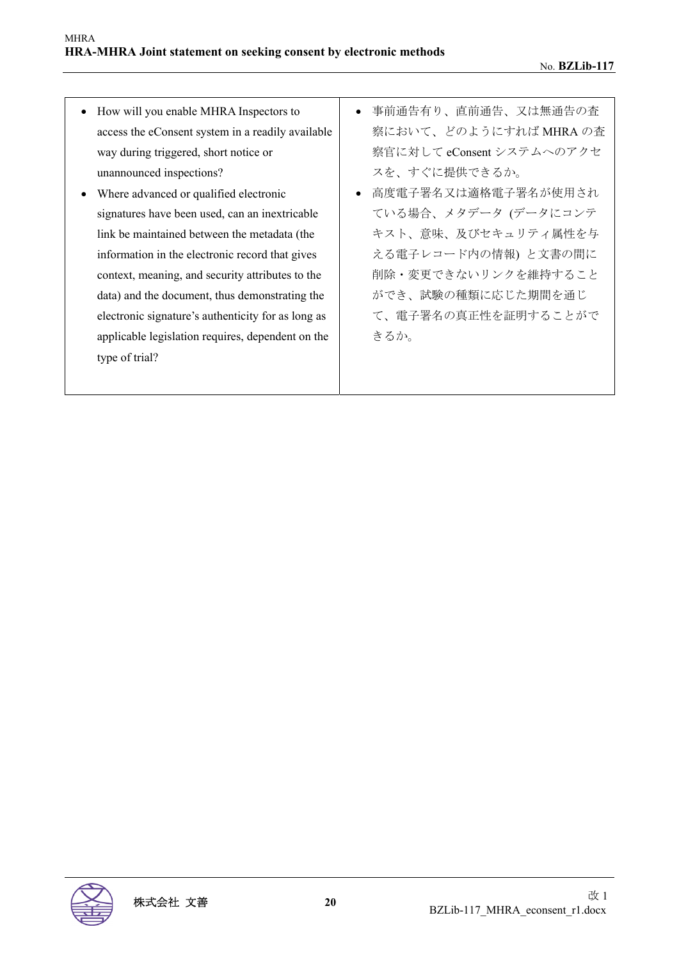- How will you enable MHRA Inspectors to access the eConsent system in a readily available way during triggered, short notice or unannounced inspections?
- Where advanced or qualified electronic signatures have been used, can an inextricable link be maintained between the metadata (the information in the electronic record that gives context, meaning, and security attributes to the data) and the document, thus demonstrating the electronic signature's authenticity for as long as applicable legislation requires, dependent on the type of trial?
- 事前通告有り、直前通告、又は無通告の査 察において、どのようにすれば MHRA の査 察官に対して eConsent システムへのアクセ スを、すぐに提供できるか。
- 高度電子署名又は適格電子署名が使用され ている場合、メタデータ (データにコンテ キスト、意味、及びセキュリティ属性を与 える電子レコード内の情報) と文書の間に 削除・変更できないリンクを維持すること ができ、試験の種類に応じた期間を通じ て、電子署名の真正性を証明することがで きるか。

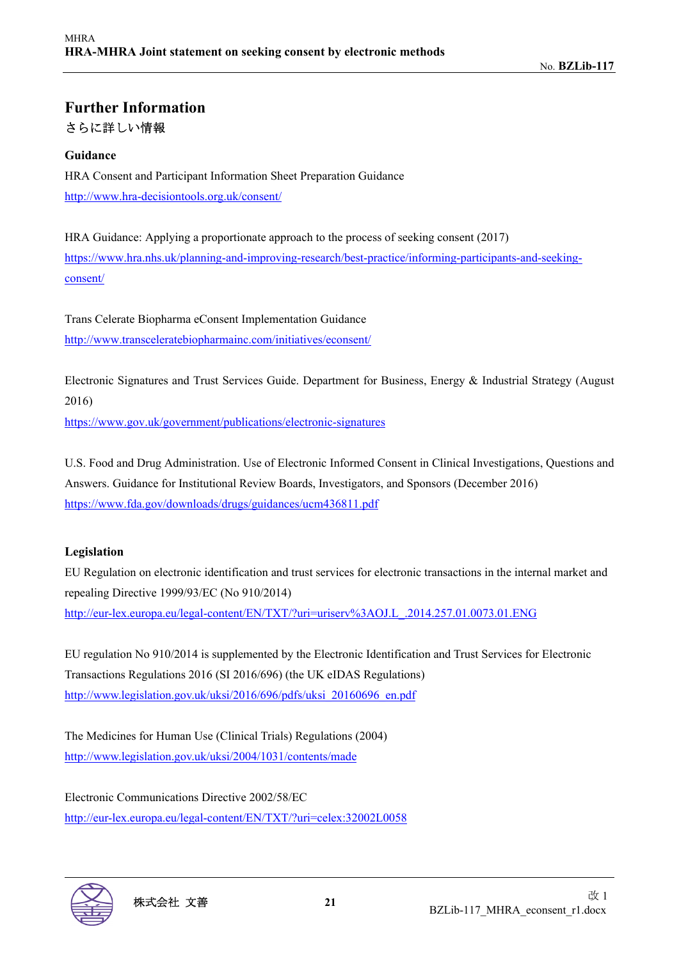# **Further Information**  さらに詳しい情報

#### **Guidance**

HRA Consent and Participant Information Sheet Preparation Guidance http://www.hra-decisiontools.org.uk/consent/

HRA Guidance: Applying a proportionate approach to the process of seeking consent (2017) https://www.hra.nhs.uk/planning-and-improving-research/best-practice/informing-participants-and-seekingconsent/

Trans Celerate Biopharma eConsent Implementation Guidance http://www.transceleratebiopharmainc.com/initiatives/econsent/

Electronic Signatures and Trust Services Guide. Department for Business, Energy & Industrial Strategy (August 2016)

https://www.gov.uk/government/publications/electronic-signatures

U.S. Food and Drug Administration. Use of Electronic Informed Consent in Clinical Investigations, Questions and Answers. Guidance for Institutional Review Boards, Investigators, and Sponsors (December 2016) https://www.fda.gov/downloads/drugs/guidances/ucm436811.pdf

#### **Legislation**

EU Regulation on electronic identification and trust services for electronic transactions in the internal market and repealing Directive 1999/93/EC (No 910/2014) http://eur-lex.europa.eu/legal-content/EN/TXT/?uri=uriserv%3AOJ.L\_.2014.257.01.0073.01.ENG

EU regulation No 910/2014 is supplemented by the Electronic Identification and Trust Services for Electronic Transactions Regulations 2016 (SI 2016/696) (the UK eIDAS Regulations) http://www.legislation.gov.uk/uksi/2016/696/pdfs/uksi\_20160696\_en.pdf

The Medicines for Human Use (Clinical Trials) Regulations (2004) http://www.legislation.gov.uk/uksi/2004/1031/contents/made

Electronic Communications Directive 2002/58/EC http://eur-lex.europa.eu/legal-content/EN/TXT/?uri=celex:32002L0058